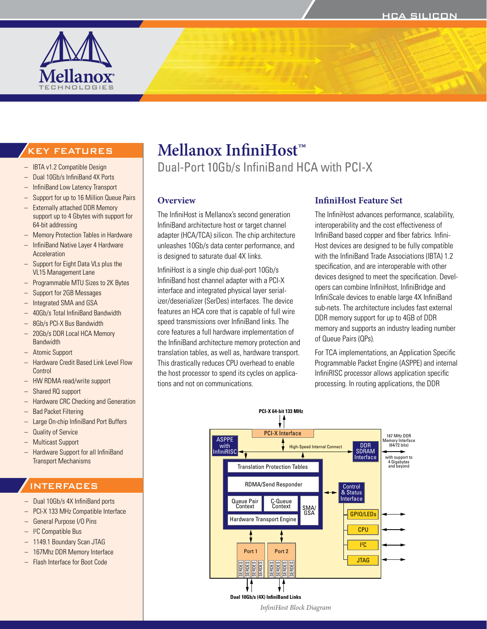

# KEY FEATURES

- IBTA v1.2 Compatible Design
- Dual 10Gb/s InfiniBand 4X Ports
- InfiniBand Low Latency Transport
- Support for up to 16 Million Queue Pairs
- Externally attached DDR Memory support up to 4 Gbytes with support for 64-bit addressing
- Memory Protection Tables in Hardware
- InfiniBand Native Layer 4 Hardware Acceleration
- Support for Eight Data VLs plus the VL15 Management Lane
- Programmable MTU Sizes to 2K Bytes
- Support for 2GB Messages
- Integrated SMA and GSA
- 40Gb/s Total InfiniBand Bandwidth
- 8Gb/s PCI-X Bus Bandwidth
- 20Gb/s DDR Local HCA Memory **Bandwidth**
- Atomic Support
- Hardware Credit Based Link Level Flow Control
- HW RDMA read/write support
- Shared RQ support
- Hardware CRC Checking and Generation
- Bad Packet Filtering
- Large On-chip InfiniBand Port Buffers
- Quality of Service
- Multicast Support
- Hardware Support for all InfiniBand Transport Mechanisms

#### INTERFACES

- Dual 10Gb/s 4X InfiniBand ports
- PCI-X 133 MHz Compatible Interface
- General Purpose I/O Pins
- I 2 C Compatible Bus
- 1149.1 Boundary Scan JTAG
- 167Mhz DDR Memory Interface
- Flash Interface for Boot Code

# **Mellanox InfiniHost™**

Dual-Port 10Gb/s InfiniBand HCA with PCI-X

#### **Overview**

The InfiniHost is Mellanox's second generation InfiniBand architecture host or target channel adapter (HCA/TCA) silicon. The chip architecture unleashes 10Gb/s data center performance, and is designed to saturate dual 4X links.

InfiniHost is a single chip dual-port 10Gb/s InfiniBand host channel adapter with a PCI-X interface and integrated physical layer serializer/deserializer (SerDes) interfaces. The device features an HCA core that is capable of full wire speed transmissions over InfiniBand links. The core features a full hardware implementation of the InfiniBand architecture memory protection and translation tables, as well as, hardware transport. This drastically reduces CPU overhead to enable the host processor to spend its cycles on applications and not on communications.

#### **InfiniHost Feature Set**

The InfiniHost advances performance, scalability, interoperability and the cost effectiveness of InfiniBand based copper and fiber fabrics. Infini-Host devices are designed to be fully compatible with the InfiniBand Trade Associations (IBTA) 1.2 specification, and are interoperable with other devices designed to meet the specification. Developers can combine InfiniHost, InfiniBridge and InfiniScale devices to enable large 4X InfiniBand sub-nets. The architecture includes fast external DDR memory support for up to 4GB of DDR memory and supports an industry leading number of Queue Pairs (QPs).

For TCA implementations, an Application Specific Programmable Packet Engine (ASPPE) and internal InfiniRISC processor allows application specific processing. In routing applications, the DDR



*InfiniHost Block Diagram*